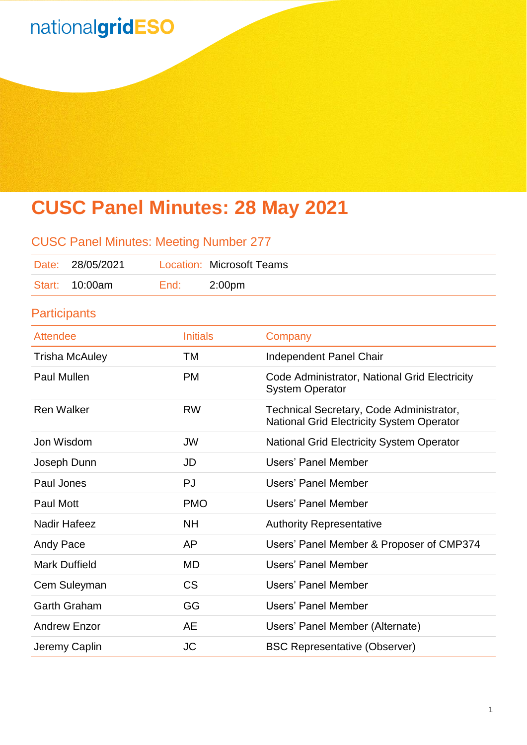# **CUSC Panel Minutes: 28 May 2021**

| <b>CUSC Panel Minutes: Meeting Number 277</b> |                     |                 |                                  |                                                                                              |  |  |
|-----------------------------------------------|---------------------|-----------------|----------------------------------|----------------------------------------------------------------------------------------------|--|--|
| Date:                                         | 28/05/2021          |                 | <b>Location: Microsoft Teams</b> |                                                                                              |  |  |
| Start:                                        | 10:00am             | End:            | 2:00 <sub>pm</sub>               |                                                                                              |  |  |
|                                               | <b>Participants</b> |                 |                                  |                                                                                              |  |  |
| <b>Attendee</b>                               |                     | <b>Initials</b> |                                  | Company                                                                                      |  |  |
| <b>Trisha McAuley</b>                         |                     | <b>TM</b>       |                                  | <b>Independent Panel Chair</b>                                                               |  |  |
| <b>Paul Mullen</b>                            |                     | <b>PM</b>       |                                  | Code Administrator, National Grid Electricity<br><b>System Operator</b>                      |  |  |
| <b>Ren Walker</b>                             |                     | <b>RW</b>       |                                  | Technical Secretary, Code Administrator,<br><b>National Grid Electricity System Operator</b> |  |  |
| Jon Wisdom                                    |                     | <b>JW</b>       |                                  | <b>National Grid Electricity System Operator</b>                                             |  |  |
| Joseph Dunn                                   |                     | JD              |                                  | <b>Users' Panel Member</b>                                                                   |  |  |
| Paul Jones                                    |                     | PJ              |                                  | <b>Users' Panel Member</b>                                                                   |  |  |
| Paul Mott                                     |                     | <b>PMO</b>      |                                  | <b>Users' Panel Member</b>                                                                   |  |  |
| <b>Nadir Hafeez</b>                           |                     | <b>NH</b>       |                                  | <b>Authority Representative</b>                                                              |  |  |
| Andy Pace                                     |                     | AP              |                                  | Users' Panel Member & Proposer of CMP374                                                     |  |  |
| <b>Mark Duffield</b>                          |                     | <b>MD</b>       |                                  | <b>Users' Panel Member</b>                                                                   |  |  |
| Cem Suleyman                                  |                     | <b>CS</b>       |                                  | <b>Users' Panel Member</b>                                                                   |  |  |
|                                               | <b>Garth Graham</b> | GG              |                                  | <b>Users' Panel Member</b>                                                                   |  |  |
| <b>Andrew Enzor</b>                           |                     | <b>AE</b>       |                                  | Users' Panel Member (Alternate)                                                              |  |  |
| Jeremy Caplin                                 |                     | <b>JC</b>       |                                  | <b>BSC Representative (Observer)</b>                                                         |  |  |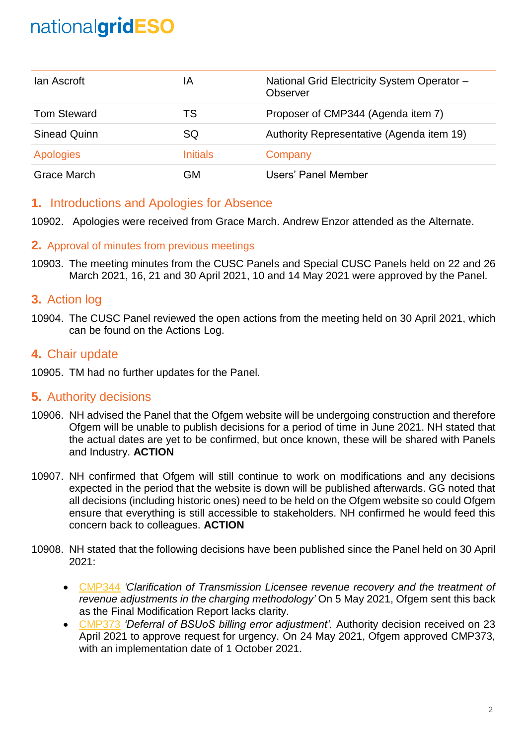| lan Ascroft        | IΑ              | National Grid Electricity System Operator -<br>Observer |
|--------------------|-----------------|---------------------------------------------------------|
| <b>Tom Steward</b> | TS              | Proposer of CMP344 (Agenda item 7)                      |
| Sinead Quinn       | SQ              | Authority Representative (Agenda item 19)               |
| <b>Apologies</b>   | <b>Initials</b> | Company                                                 |
| Grace March        | GM              | Users' Panel Member                                     |

## **1.** Introductions and Apologies for Absence

10902. Apologies were received from Grace March. Andrew Enzor attended as the Alternate.

#### **2.** Approval of minutes from previous meetings

10903. The meeting minutes from the CUSC Panels and Special CUSC Panels held on 22 and 26 March 2021, 16, 21 and 30 April 2021, 10 and 14 May 2021 were approved by the Panel.

## **3.** Action log

10904. The CUSC Panel reviewed the open actions from the meeting held on 30 April 2021, which can be found on the Actions Log.

## **4.** Chair update

10905. TM had no further updates for the Panel.

## **5.** Authority decisions

- 10906. NH advised the Panel that the Ofgem website will be undergoing construction and therefore Ofgem will be unable to publish decisions for a period of time in June 2021. NH stated that the actual dates are yet to be confirmed, but once known, these will be shared with Panels and Industry. **ACTION**
- 10907. NH confirmed that Ofgem will still continue to work on modifications and any decisions expected in the period that the website is down will be published afterwards. GG noted that all decisions (including historic ones) need to be held on the Ofgem website so could Ofgem ensure that everything is still accessible to stakeholders. NH confirmed he would feed this concern back to colleagues. **ACTION**
- 10908. NH stated that the following decisions have been published since the Panel held on 30 April 2021:
	- [CMP344](https://www.nationalgrideso.com/industry-information/codes/connection-and-use-system-code-cusc-old/modifications/cmp344) *'Clarification of Transmission Licensee revenue recovery and the treatment of revenue adjustments in the charging methodology'* On 5 May 2021, Ofgem sent this back as the Final Modification Report lacks clarity.
	- [CMP373](https://www.nationalgrideso.com/industry-information/codes/connection-and-use-system-code-cusc-old/modifications/cmp373-deferral) *'Deferral of BSUoS billing error adjustment'.* Authority decision received on 23 April 2021 to approve request for urgency. On 24 May 2021, Ofgem approved CMP373, with an implementation date of 1 October 2021.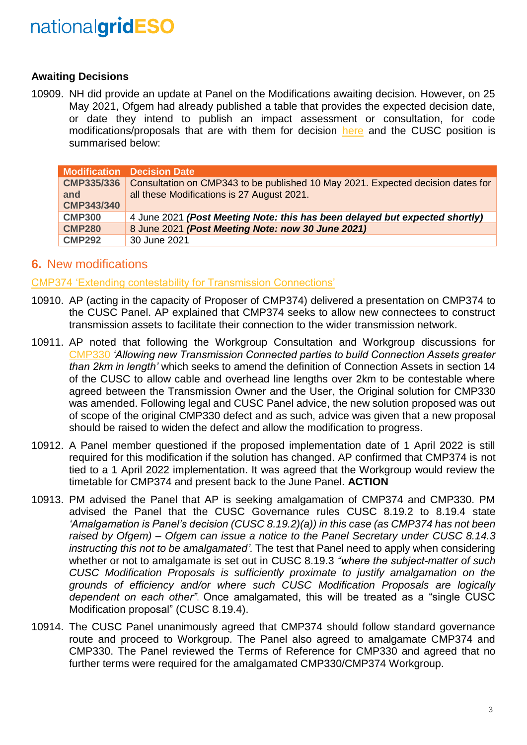#### **Awaiting Decisions**

10909. NH did provide an update at Panel on the Modifications awaiting decision. However, on 25 May 2021, Ofgem had already published a table that provides the expected decision date, or date they intend to publish an impact assessment or consultation, for code modifications/proposals that are with them for decision [here](https://www.ofgem.gov.uk/system/files/docs/2021/05/code_modification_proposals_with_ofgem_for_decision_-_expected_publication_dates_timetable.pdf) and the CUSC position is summarised below:

|                                        | <b>Modification Decision Date</b>                                                                                             |
|----------------------------------------|-------------------------------------------------------------------------------------------------------------------------------|
| CMP335/336<br>and<br><b>CMP343/340</b> | Consultation on CMP343 to be published 10 May 2021. Expected decision dates for<br>all these Modifications is 27 August 2021. |
| <b>CMP300</b>                          | 4 June 2021 (Post Meeting Note: this has been delayed but expected shortly)                                                   |
| <b>CMP280</b>                          | 8 June 2021 (Post Meeting Note: now 30 June 2021)                                                                             |
| <b>CMP292</b>                          | 30 June 2021                                                                                                                  |

## **6.** New modifications

[CMP374 'Extending contestability for Transmission Connections'](https://www.nationalgrideso.com/industry-information/codes/connection-and-use-system-code-cusc-old/modifications/cmp374-extending)

- 10910. AP (acting in the capacity of Proposer of CMP374) delivered a presentation on CMP374 to the CUSC Panel. AP explained that CMP374 seeks to allow new connectees to construct transmission assets to facilitate their connection to the wider transmission network.
- 10911. AP noted that following the Workgroup Consultation and Workgroup discussions for [CMP330](https://www.nationalgrideso.com/industry-information/codes/connection-and-use-system-code-cusc-old/modifications/cmp330-allowing) *'Allowing new Transmission Connected parties to build Connection Assets greater than 2km in length'* which seeks to amend the definition of Connection Assets in section 14 of the CUSC to allow cable and overhead line lengths over 2km to be contestable where agreed between the Transmission Owner and the User, the Original solution for CMP330 was amended. Following legal and CUSC Panel advice, the new solution proposed was out of scope of the original CMP330 defect and as such, advice was given that a new proposal should be raised to widen the defect and allow the modification to progress.
- 10912. A Panel member questioned if the proposed implementation date of 1 April 2022 is still required for this modification if the solution has changed. AP confirmed that CMP374 is not tied to a 1 April 2022 implementation. It was agreed that the Workgroup would review the timetable for CMP374 and present back to the June Panel. **ACTION**
- 10913. PM advised the Panel that AP is seeking amalgamation of CMP374 and CMP330. PM advised the Panel that the CUSC Governance rules CUSC 8.19.2 to 8.19.4 state *'Amalgamation is Panel's decision (CUSC 8.19.2)(a)) in this case (as CMP374 has not been raised by Ofgem) – Ofgem can issue a notice to the Panel Secretary under CUSC 8.14.3 instructing this not to be amalgamated'.* The test that Panel need to apply when considering whether or not to amalgamate is set out in CUSC 8.19.3 *"where the subject-matter of such CUSC Modification Proposals is sufficiently proximate to justify amalgamation on the grounds of efficiency and/or where such CUSC Modification Proposals are logically dependent on each other"*. Once amalgamated, this will be treated as a "single CUSC Modification proposal" (CUSC 8.19.4).
- 10914. The CUSC Panel unanimously agreed that CMP374 should follow standard governance route and proceed to Workgroup. The Panel also agreed to amalgamate CMP374 and CMP330. The Panel reviewed the Terms of Reference for CMP330 and agreed that no further terms were required for the amalgamated CMP330/CMP374 Workgroup.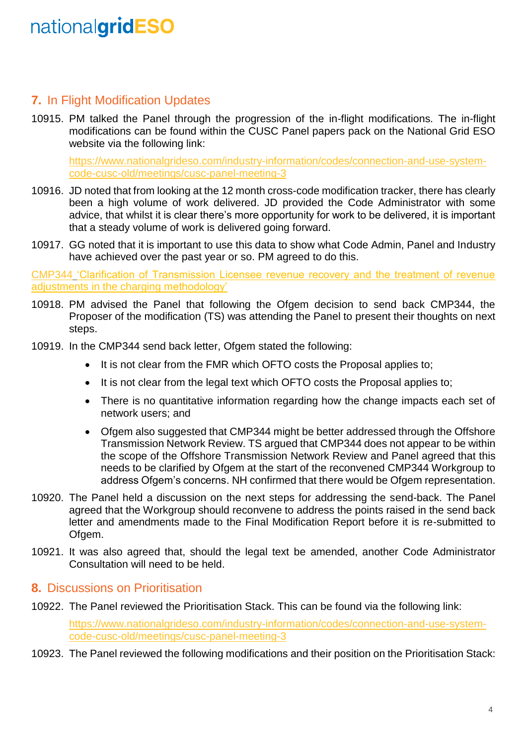## **7.** In Flight Modification Updates

10915. PM talked the Panel through the progression of the in-flight modifications. The in-flight modifications can be found within the CUSC Panel papers pack on the National Grid ESO website via the following link:

[https://www.nationalgrideso.com/industry-information/codes/connection-and-use-system](https://www.nationalgrideso.com/industry-information/codes/connection-and-use-system-code-cusc-old/meetings/cusc-panel-meeting-3)[code-cusc-old/meetings/cusc-panel-meeting-3](https://www.nationalgrideso.com/industry-information/codes/connection-and-use-system-code-cusc-old/meetings/cusc-panel-meeting-3)

- 10916. JD noted that from looking at the 12 month cross-code modification tracker, there has clearly been a high volume of work delivered. JD provided the Code Administrator with some advice, that whilst it is clear there's more opportunity for work to be delivered, it is important that a steady volume of work is delivered going forward.
- 10917. GG noted that it is important to use this data to show what Code Admin, Panel and Industry have achieved over the past year or so. PM agreed to do this.

[CMP344](https://www.nationalgrideso.com/industry-information/codes/connection-and-use-system-code-cusc-old/modifications/cmp344) 'Clarification of Transmission Licensee revenue recovery and the treatment of revenue adiustments in the charging methodology'

- 10918. PM advised the Panel that following the Ofgem decision to send back CMP344, the Proposer of the modification (TS) was attending the Panel to present their thoughts on next steps.
- 10919. In the CMP344 send back letter, Ofgem stated the following:
	- It is not clear from the FMR which OFTO costs the Proposal applies to;
	- It is not clear from the legal text which OFTO costs the Proposal applies to:
	- There is no quantitative information regarding how the change impacts each set of network users; and
	- Ofgem also suggested that CMP344 might be better addressed through the Offshore Transmission Network Review. TS argued that CMP344 does not appear to be within the scope of the Offshore Transmission Network Review and Panel agreed that this needs to be clarified by Ofgem at the start of the reconvened CMP344 Workgroup to address Ofgem's concerns. NH confirmed that there would be Ofgem representation.
- 10920. The Panel held a discussion on the next steps for addressing the send-back. The Panel agreed that the Workgroup should reconvene to address the points raised in the send back letter and amendments made to the Final Modification Report before it is re-submitted to Ofgem.
- 10921. It was also agreed that, should the legal text be amended, another Code Administrator Consultation will need to be held.

#### **8.** Discussions on Prioritisation

10922. The Panel reviewed the Prioritisation Stack. This can be found via the following link:

[https://www.nationalgrideso.com/industry-information/codes/connection-and-use-system](https://www.nationalgrideso.com/industry-information/codes/connection-and-use-system-code-cusc-old/meetings/cusc-panel-meeting-3)[code-cusc-old/meetings/cusc-panel-meeting-3](https://www.nationalgrideso.com/industry-information/codes/connection-and-use-system-code-cusc-old/meetings/cusc-panel-meeting-3)

10923. The Panel reviewed the following modifications and their position on the Prioritisation Stack: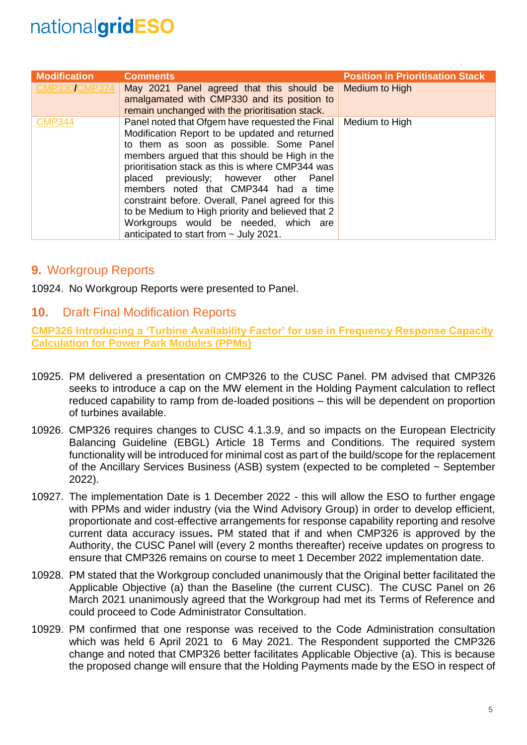| <b>Modification</b>  | <b>Comments</b>                                                                                                                                                                                                                                                                                                                                                                                                                                                                                                                        | <b>Position in Prioritisation Stack</b> |
|----------------------|----------------------------------------------------------------------------------------------------------------------------------------------------------------------------------------------------------------------------------------------------------------------------------------------------------------------------------------------------------------------------------------------------------------------------------------------------------------------------------------------------------------------------------------|-----------------------------------------|
| <b>CMP330/CMP374</b> | May 2021 Panel agreed that this should be<br>amalgamated with CMP330 and its position to<br>remain unchanged with the prioritisation stack.                                                                                                                                                                                                                                                                                                                                                                                            | Medium to High                          |
| <b>CMP344</b>        | Panel noted that Ofgem have requested the Final<br>Modification Report to be updated and returned<br>to them as soon as possible. Some Panel<br>members argued that this should be High in the<br>prioritisation stack as this is where CMP344 was<br>placed previously; however other Panel<br>members noted that CMP344 had a time<br>constraint before. Overall, Panel agreed for this<br>to be Medium to High priority and believed that 2<br>Workgroups would be needed, which are<br>anticipated to start from $\sim$ July 2021. | Medium to High                          |

## **9.** Workgroup Reports

10924. No Workgroup Reports were presented to Panel.

## **10.** Draft Final Modification Reports

**[CMP326 Introducing a 'Turbine Availability Factor' for use in Frequency Response Capacity](https://www.nationalgrideso.com/industry-information/codes/connection-and-use-system-code-cusc-old/modifications/cmp326-introducing)  [Calculation for Power Park Modules \(PPMs\)](https://www.nationalgrideso.com/industry-information/codes/connection-and-use-system-code-cusc-old/modifications/cmp326-introducing)**

- 10925. PM delivered a presentation on CMP326 to the CUSC Panel. PM advised that CMP326 seeks to introduce a cap on the MW element in the Holding Payment calculation to reflect reduced capability to ramp from de-loaded positions – this will be dependent on proportion of turbines available.
- 10926. CMP326 requires changes to CUSC 4.1.3.9, and so impacts on the European Electricity Balancing Guideline (EBGL) Article 18 Terms and Conditions. The required system functionality will be introduced for minimal cost as part of the build/scope for the replacement of the Ancillary Services Business (ASB) system (expected to be completed ~ September 2022).
- 10927. The implementation Date is 1 December 2022 this will allow the ESO to further engage with PPMs and wider industry (via the Wind Advisory Group) in order to develop efficient, proportionate and cost-effective arrangements for response capability reporting and resolve current data accuracy issues**.** PM stated that if and when CMP326 is approved by the Authority, the CUSC Panel will (every 2 months thereafter) receive updates on progress to ensure that CMP326 remains on course to meet 1 December 2022 implementation date.
- 10928. PM stated that the Workgroup concluded unanimously that the Original better facilitated the Applicable Objective (a) than the Baseline (the current CUSC). The CUSC Panel on 26 March 2021 unanimously agreed that the Workgroup had met its Terms of Reference and could proceed to Code Administrator Consultation.
- 10929. PM confirmed that one response was received to the Code Administration consultation which was held 6 April 2021 to 6 May 2021. The Respondent supported the CMP326 change and noted that CMP326 better facilitates Applicable Objective (a). This is because the proposed change will ensure that the Holding Payments made by the ESO in respect of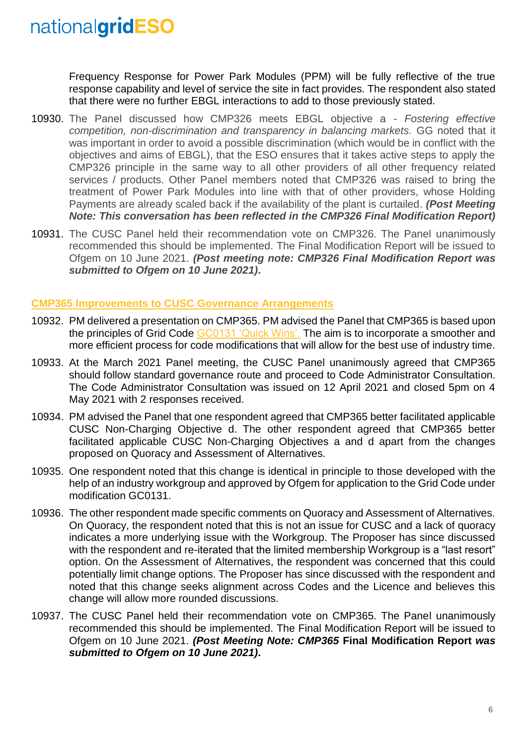Frequency Response for Power Park Modules (PPM) will be fully reflective of the true response capability and level of service the site in fact provides. The respondent also stated that there were no further EBGL interactions to add to those previously stated.

- 10930. The Panel discussed how CMP326 meets EBGL objective a *Fostering effective competition, non-discrimination and transparency in balancing markets.* GG noted that it was important in order to avoid a possible discrimination (which would be in conflict with the objectives and aims of EBGL), that the ESO ensures that it takes active steps to apply the CMP326 principle in the same way to all other providers of all other frequency related services / products. Other Panel members noted that CMP326 was raised to bring the treatment of Power Park Modules into line with that of other providers, whose Holding Payments are already scaled back if the availability of the plant is curtailed. *(Post Meeting Note: This conversation has been reflected in the CMP326 Final Modification Report)*
- 10931. The CUSC Panel held their recommendation vote on CMP326. The Panel unanimously recommended this should be implemented. The Final Modification Report will be issued to Ofgem on 10 June 2021. *(Post meeting note: CMP326 Final Modification Report was submitted to Ofgem on 10 June 2021)***.**

#### **[CMP365 Improvements to CUSC Governance Arrangements](https://www.nationalgrideso.com/industry-information/codes/connection-and-use-system-code-cusc-old/modifications/cmp365)**

- 10932. PM delivered a presentation on CMP365. PM advised the Panel that CMP365 is based upon the principles of Grid Code [GC0131 'Quick Wins'.](https://www.nationalgrideso.com/industry-information/codes/grid-code-old/modifications/gc0131-quick-win-improvements-grid-code-open) The aim is to incorporate a smoother and more efficient process for code modifications that will allow for the best use of industry time.
- 10933. At the March 2021 Panel meeting, the CUSC Panel unanimously agreed that CMP365 should follow standard governance route and proceed to Code Administrator Consultation. The Code Administrator Consultation was issued on 12 April 2021 and closed 5pm on 4 May 2021 with 2 responses received.
- 10934. PM advised the Panel that one respondent agreed that CMP365 better facilitated applicable CUSC Non-Charging Objective d. The other respondent agreed that CMP365 better facilitated applicable CUSC Non-Charging Objectives a and d apart from the changes proposed on Quoracy and Assessment of Alternatives.
- 10935. One respondent noted that this change is identical in principle to those developed with the help of an industry workgroup and approved by Ofgem for application to the Grid Code under modification GC0131.
- 10936. The other respondent made specific comments on Quoracy and Assessment of Alternatives. On Quoracy, the respondent noted that this is not an issue for CUSC and a lack of quoracy indicates a more underlying issue with the Workgroup. The Proposer has since discussed with the respondent and re-iterated that the limited membership Workgroup is a "last resort" option. On the Assessment of Alternatives, the respondent was concerned that this could potentially limit change options. The Proposer has since discussed with the respondent and noted that this change seeks alignment across Codes and the Licence and believes this change will allow more rounded discussions.
- 10937. The CUSC Panel held their recommendation vote on CMP365. The Panel unanimously recommended this should be implemented. The Final Modification Report will be issued to Ofgem on 10 June 2021. *(Post Meeting Note: CMP365* **Final Modification Report** *was submitted to Ofgem on 10 June 2021)***.**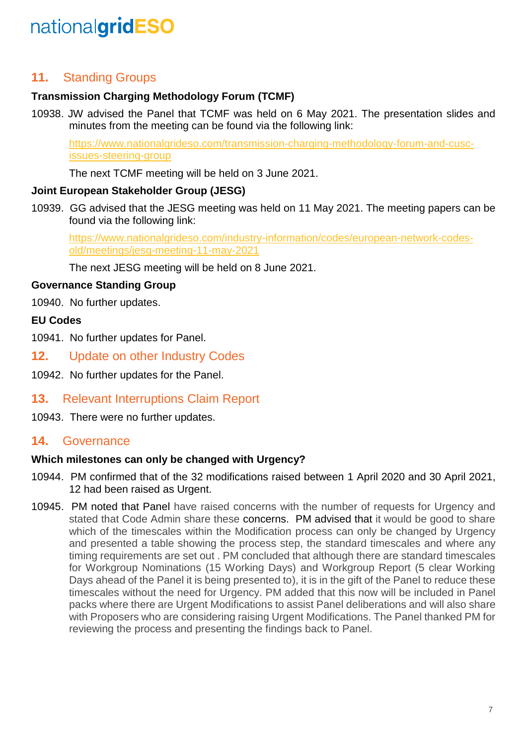## **11.** Standing Groups

## **Transmission Charging Methodology Forum (TCMF)**

10938. JW advised the Panel that TCMF was held on 6 May 2021. The presentation slides and minutes from the meeting can be found via the following link:

[https://www.nationalgrideso.com/transmission-charging-methodology-forum-and-cusc](https://www.nationalgrideso.com/transmission-charging-methodology-forum-and-cusc-issues-steering-group)[issues-steering-group](https://www.nationalgrideso.com/transmission-charging-methodology-forum-and-cusc-issues-steering-group)

The next TCMF meeting will be held on 3 June 2021.

#### **Joint European Stakeholder Group (JESG)**

10939. GG advised that the JESG meeting was held on 11 May 2021. The meeting papers can be found via the following link:

[https://www.nationalgrideso.com/industry-information/codes/european-network-codes](https://www.nationalgrideso.com/industry-information/codes/european-network-codes-old/meetings/jesg-meeting-11-may-2021)[old/meetings/jesg-meeting-11-may-2021](https://www.nationalgrideso.com/industry-information/codes/european-network-codes-old/meetings/jesg-meeting-11-may-2021)

The next JESG meeting will be held on 8 June 2021.

#### **Governance Standing Group**

10940. No further updates.

#### **EU Codes**

- 10941. No further updates for Panel.
- **12.** Update on other Industry Codes
- 10942. No further updates for the Panel.
- **13.** Relevant Interruptions Claim Report
- 10943. There were no further updates.

## **14.** Governance

#### **Which milestones can only be changed with Urgency?**

- 10944. PM confirmed that of the 32 modifications raised between 1 April 2020 and 30 April 2021, 12 had been raised as Urgent.
- 10945. PM noted that Panel have raised concerns with the number of requests for Urgency and stated that Code Admin share these concerns. PM advised that it would be good to share which of the timescales within the Modification process can only be changed by Urgency and presented a table showing the process step, the standard timescales and where any timing requirements are set out . PM concluded that although there are standard timescales for Workgroup Nominations (15 Working Days) and Workgroup Report (5 clear Working Days ahead of the Panel it is being presented to), it is in the gift of the Panel to reduce these timescales without the need for Urgency. PM added that this now will be included in Panel packs where there are Urgent Modifications to assist Panel deliberations and will also share with Proposers who are considering raising Urgent Modifications. The Panel thanked PM for reviewing the process and presenting the findings back to Panel.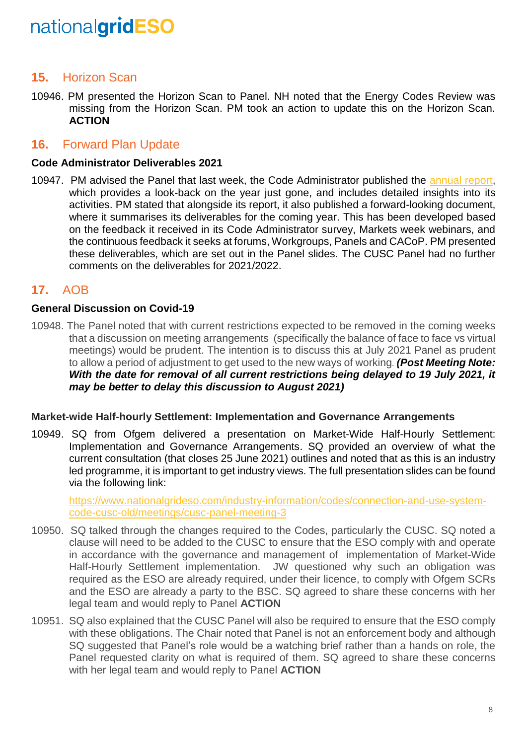## **15.** Horizon Scan

10946. PM presented the Horizon Scan to Panel. NH noted that the Energy Codes Review was missing from the Horizon Scan. PM took an action to update this on the Horizon Scan. **ACTION** 

### **16.** Forward Plan Update

#### **Code Administrator Deliverables 2021**

10947. PM advised the Panel that last week, the Code Administrator published the [annual report,](https://www.nationalgrideso.com/document/191571/download) which provides a look-back on the year just gone, and includes detailed insights into its activities. PM stated that alongside its report, it also published a forward-looking document, where it summarises its deliverables for the coming year. This has been developed based on the feedback it received in its Code Administrator survey, Markets week webinars, and the continuous feedback it seeks at forums, Workgroups, Panels and CACoP. PM presented these deliverables, which are set out in the Panel slides. The CUSC Panel had no further comments on the deliverables for 2021/2022.

## **17.** AOB

#### **General Discussion on Covid-19**

10948. The Panel noted that with current restrictions expected to be removed in the coming weeks that a discussion on meeting arrangements (specifically the balance of face to face vs virtual meetings) would be prudent. The intention is to discuss this at July 2021 Panel as prudent to allow a period of adjustment to get used to the new ways of working*. (Post Meeting Note: With the date for removal of all current restrictions being delayed to 19 July 2021, it may be better to delay this discussion to August 2021)*

#### **Market-wide Half-hourly Settlement: Implementation and Governance Arrangements**

10949. SQ from Ofgem delivered a presentation on Market-Wide Half-Hourly Settlement: Implementation and Governance Arrangements. SQ provided an overview of what the current consultation (that closes 25 June 2021) outlines and noted that as this is an industry led programme, it is important to get industry views. The full presentation slides can be found via the following link:

[https://www.nationalgrideso.com/industry-information/codes/connection-and-use-system](https://www.nationalgrideso.com/industry-information/codes/connection-and-use-system-code-cusc-old/meetings/cusc-panel-meeting-3)[code-cusc-old/meetings/cusc-panel-meeting-3](https://www.nationalgrideso.com/industry-information/codes/connection-and-use-system-code-cusc-old/meetings/cusc-panel-meeting-3)

- 10950. SQ talked through the changes required to the Codes, particularly the CUSC. SQ noted a clause will need to be added to the CUSC to ensure that the ESO comply with and operate in accordance with the governance and management of implementation of Market-Wide Half-Hourly Settlement implementation. JW questioned why such an obligation was required as the ESO are already required, under their licence, to comply with Ofgem SCRs and the ESO are already a party to the BSC. SQ agreed to share these concerns with her legal team and would reply to Panel **ACTION**
- 10951. SQ also explained that the CUSC Panel will also be required to ensure that the ESO comply with these obligations. The Chair noted that Panel is not an enforcement body and although SQ suggested that Panel's role would be a watching brief rather than a hands on role, the Panel requested clarity on what is required of them. SQ agreed to share these concerns with her legal team and would reply to Panel **ACTION**